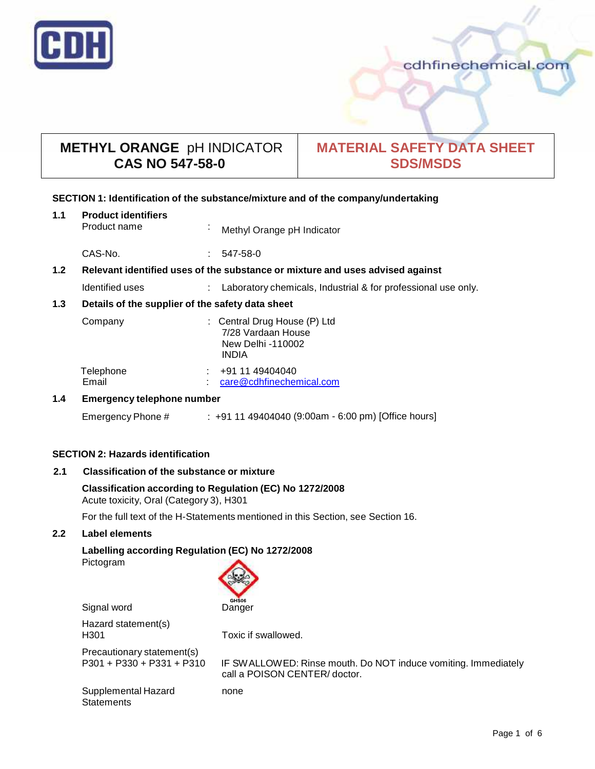

# **METHYL ORANGE** pH INDICATOR **CAS NO 547-58-0**

# **MATERIAL SAFETY DATA SHEET SDS/MSDS**

# **SECTION 1: Identification of the substance/mixture and of the company/undertaking**

| 1.1 | <b>Product identifiers</b><br>Product name                                    | $\mathbf{r}$ | Methyl Orange pH Indicator                                                              |
|-----|-------------------------------------------------------------------------------|--------------|-----------------------------------------------------------------------------------------|
|     | CAS-No.                                                                       | ÷            | 547-58-0                                                                                |
| 1.2 | Relevant identified uses of the substance or mixture and uses advised against |              |                                                                                         |
|     | Identified uses                                                               |              | Laboratory chemicals, Industrial & for professional use only.                           |
| 1.3 | Details of the supplier of the safety data sheet                              |              |                                                                                         |
|     | Company                                                                       |              | : Central Drug House (P) Ltd<br>7/28 Vardaan House<br>New Delhi -110002<br><b>INDIA</b> |
|     | Telephone<br>Email                                                            | t.           | +91 11 49404040<br>care@cdhfinechemical.com                                             |
| 1.4 | <b>Emergency telephone number</b>                                             |              |                                                                                         |

Emergency Phone # : +91 11 49404040 (9:00am - 6:00 pm) [Office hours]

# **SECTION 2: Hazards identification**

# **2.1 Classification of the substance ormixture**

# **Classification according to Regulation (EC) No 1272/2008** Acute toxicity, Oral (Category 3), H301

For the full text of the H-Statements mentioned in this Section, see Section 16.

# **2.2 Label elements**

# **Labelling according Regulation (EC) No 1272/2008**

Pictogram



Signal word Danger

Hazard statement(s) H301 Toxic if swallowed.

Precautionary statement(s)<br>P301 + P330 + P331 + P310

IF SWALLOWED: Rinse mouth. Do NOT induce vomiting. Immediately call a POISON CENTER/ doctor.

Supplemental Hazard **Statements** 

none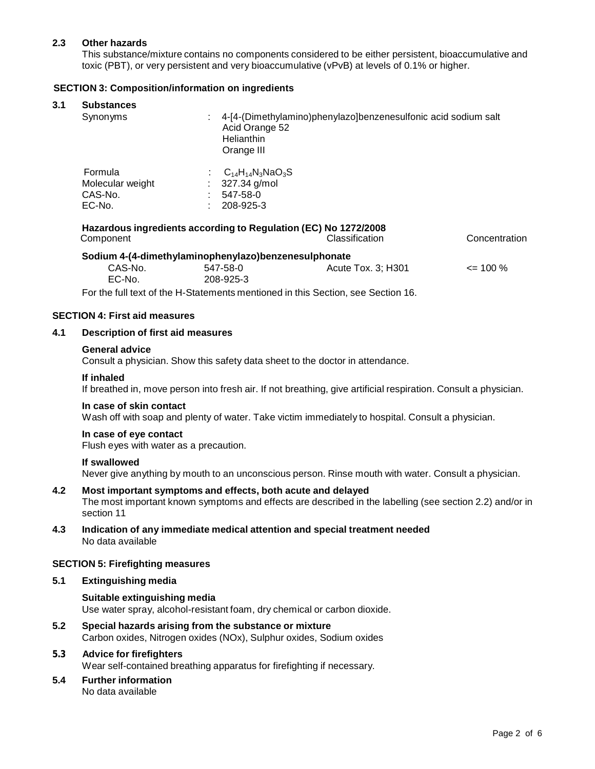# **2.3 Other hazards**

This substance/mixture contains no components considered to be either persistent, bioaccumulative and toxic (PBT), or very persistent and very bioaccumulative (vPvB) at levels of 0.1% or higher.

# **SECTION 3: Composition/information on ingredients**

### **3.1 Substances**

| -----------<br>Synonyms                          | 4-[4-(Dimethylamino)phenylazo]benzenesulfonic acid sodium salt<br>Acid Orange 52<br>Helianthin<br>Orange III |
|--------------------------------------------------|--------------------------------------------------------------------------------------------------------------|
| Formula<br>Molecular weight<br>CAS-No.<br>EC-No. | $C_{14}H_{14}N_3NaO_3S$<br>327.34 g/mol<br>÷.<br>547-58-0<br>208-925-3                                       |

| Hazardous ingredients according to Regulation (EC) No 1272/2008 |          |                    |               |  |  |  |  |
|-----------------------------------------------------------------|----------|--------------------|---------------|--|--|--|--|
| Component                                                       |          | Classification     | Concentration |  |  |  |  |
| Sodium 4-(4-dimethylaminophenylazo)benzenesulphonate            |          |                    |               |  |  |  |  |
| CAS-No.                                                         | 547-58-0 | Acute Tox. 3; H301 | $\leq$ 100 %  |  |  |  |  |

EC-No. 208-925-3

For the full text of the H-Statements mentioned in this Section, see Section 16.

# **SECTION 4: First aid measures**

### **4.1 Description of first aid measures**

### **General advice**

Consult a physician. Show this safety data sheet to the doctor in attendance.

### **If inhaled**

If breathed in, move person into fresh air. If not breathing, give artificial respiration. Consult a physician.

### **In case of skin contact**

Wash off with soap and plenty of water. Take victim immediately to hospital. Consult a physician.

### **In case of eye contact**

Flush eyes with water as a precaution.

### **If swallowed**

Never give anything by mouth to an unconscious person. Rinse mouth with water. Consult a physician.

### **4.2 Most important symptoms and effects, both acute and delayed**

The most important known symptoms and effects are described in the labelling (see section 2.2) and/or in section 11

**4.3 Indication of any immediate medical attention and special treatment needed** No data available

### **SECTION 5: Firefighting measures**

# **5.1 Extinguishing media**

**Suitable extinguishing media** Use water spray, alcohol-resistant foam, dry chemical or carbon dioxide.

**5.2 Special hazards arising from the substance ormixture** Carbon oxides, Nitrogen oxides (NOx), Sulphur oxides, Sodium oxides

# **5.3 Advice for firefighters**

Wear self-contained breathing apparatus for firefighting if necessary.

**5.4 Further information** No data available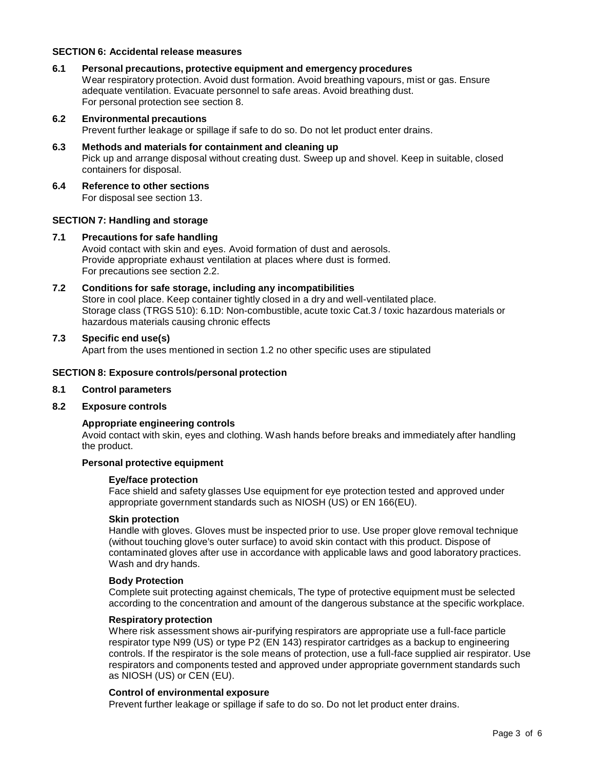# **SECTION 6: Accidental release measures**

- **6.1 Personal precautions, protective equipment and emergency procedures** Wear respiratory protection. Avoid dust formation. Avoid breathing vapours, mist or gas. Ensure adequate ventilation. Evacuate personnel to safe areas. Avoid breathing dust. For personal protection see section 8.
- **6.2 Environmental precautions**

Prevent further leakage or spillage if safe to do so. Do not let product enter drains.

- **6.3 Methods and materials for containment and cleaning up** Pick up and arrange disposal without creating dust. Sweep up and shovel. Keep in suitable, closed containers for disposal.
- **6.4 Reference to other sections**

For disposal see section 13.

### **SECTION 7: Handling and storage**

### **7.1 Precautions for safe handling**

Avoid contact with skin and eyes. Avoid formation of dust and aerosols. Provide appropriate exhaust ventilation at places where dust is formed. For precautions see section 2.2.

# **7.2 Conditions for safe storage, including any incompatibilities**

Store in cool place. Keep container tightly closed in a dry and well-ventilated place. Storage class (TRGS 510): 6.1D: Non-combustible, acute toxic Cat.3 / toxic hazardous materials or hazardous materials causing chronic effects

## **7.3 Specific end use(s)**

Apart from the uses mentioned in section 1.2 no other specific uses are stipulated

#### **SECTION 8: Exposure controls/personal protection**

### **8.1 Control parameters**

### **8.2 Exposure controls**

### **Appropriate engineering controls**

Avoid contact with skin, eyes and clothing. Wash hands before breaks and immediately after handling the product.

#### **Personal protective equipment**

#### **Eye/face protection**

Face shield and safety glasses Use equipment for eye protection tested and approved under appropriate government standards such as NIOSH (US) or EN 166(EU).

# **Skin protection**

Handle with gloves. Gloves must be inspected prior to use. Use proper glove removal technique (without touching glove's outer surface) to avoid skin contact with this product. Dispose of contaminated gloves after use in accordance with applicable laws and good laboratory practices. Wash and dry hands.

# **Body Protection**

Complete suit protecting against chemicals, The type of protective equipment must be selected according to the concentration and amount of the dangerous substance at the specific workplace.

### **Respiratory protection**

Where risk assessment shows air-purifying respirators are appropriate use a full-face particle respirator type N99 (US) or type P2 (EN 143) respirator cartridges as a backup to engineering controls. If the respirator is the sole means of protection, use a full-face supplied air respirator. Use respirators and components tested and approved under appropriate government standards such as NIOSH (US) or CEN (EU).

### **Control of environmental exposure**

Prevent further leakage or spillage if safe to do so. Do not let product enter drains.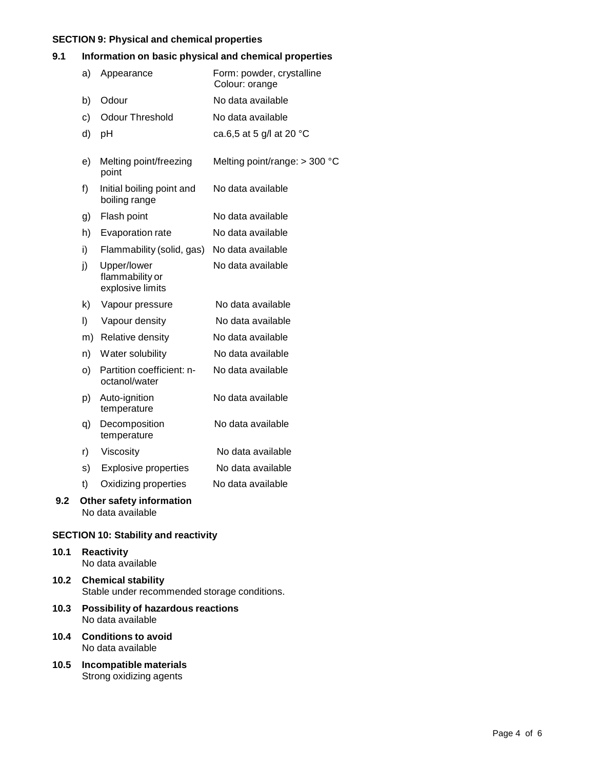# **SECTION 9: Physical and chemical properties**

# **9.1 Information on basic physical and chemical properties**

|     | a)      | Appearance                                         | Form: powder, crystalline<br>Colour: orange |
|-----|---------|----------------------------------------------------|---------------------------------------------|
|     | b)      | Odour                                              | No data available                           |
|     | c)      | <b>Odour Threshold</b>                             | No data available                           |
|     | d)      | pH                                                 | ca.6,5 at 5 g/l at 20 °C                    |
|     | e)      | Melting point/freezing<br>point                    | Melting point/range: > 300 °C               |
|     | f)      | Initial boiling point and<br>boiling range         | No data available                           |
|     | g)      | Flash point                                        | No data available                           |
|     | h)      | Evaporation rate                                   | No data available                           |
|     | i)      | Flammability (solid, gas)                          | No data available                           |
|     | j)      | Upper/lower<br>flammability or<br>explosive limits | No data available                           |
|     | k)      | Vapour pressure                                    | No data available                           |
|     | $\vert$ | Vapour density                                     | No data available                           |
|     | m)      | Relative density                                   | No data available                           |
|     | n)      | Water solubility                                   | No data available                           |
|     | O)      | Partition coefficient: n-<br>octanol/water         | No data available                           |
|     | p)      | Auto-ignition<br>temperature                       | No data available                           |
|     | q)      | Decomposition<br>temperature                       | No data available                           |
|     | r)      | Viscosity                                          | No data available                           |
|     | s)      | <b>Explosive properties</b>                        | No data available                           |
|     | t)      | Oxidizing properties                               | No data available                           |
| 9.2 |         | Other safety information<br>No data available      |                                             |

# **SECTION 10: Stability and reactivity**

# **10.1 Reactivity** No data available

- **10.2 Chemical stability** Stable under recommended storage conditions.
- **10.3 Possibility of hazardous reactions** No data available
- **10.4 Conditions to avoid** No data available
- **10.5 Incompatible materials** Strong oxidizing agents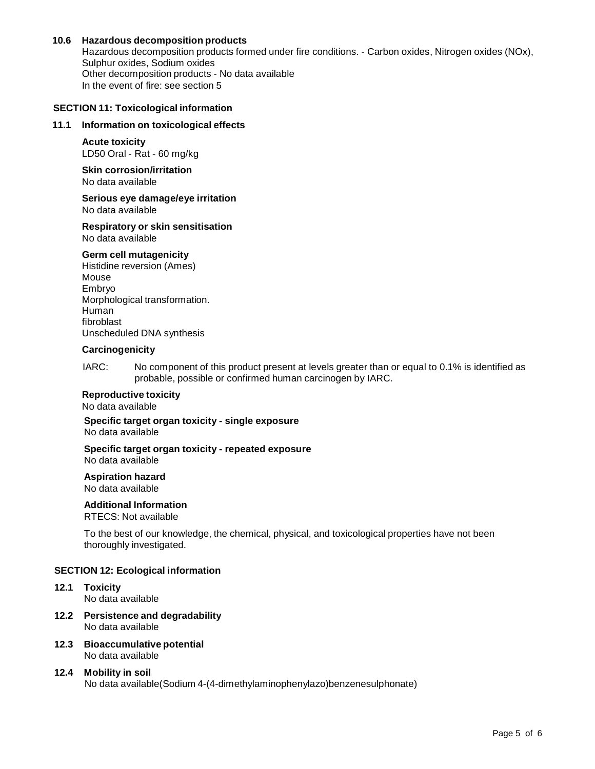# **10.6 Hazardous decomposition products**

Hazardous decomposition products formed under fire conditions. - Carbon oxides, Nitrogen oxides (NOx), Sulphur oxides, Sodium oxides Other decomposition products - No data available In the event of fire: see section 5

# **SECTION 11: Toxicological information**

### **11.1 Information on toxicological effects**

**Acute toxicity** LD50 Oral - Rat - 60 mg/kg

**Skin corrosion/irritation** No data available

**Serious eye damage/eye irritation** No data available

#### **Respiratory orskin sensitisation** No data available

### **Germ cell mutagenicity**

Histidine reversion (Ames) Mouse Embryo Morphological transformation. Human fibroblast Unscheduled DNA synthesis

### **Carcinogenicity**

IARC: No component of this product present at levels greater than or equal to 0.1% is identified as probable, possible or confirmed human carcinogen by IARC.

### **Reproductive toxicity**

No data available

**Specific target organ toxicity - single exposure** No data available

#### **Specific target organ toxicity - repeated exposure** No data available

### **Aspiration hazard**

No data available

### **Additional Information**

RTECS: Not available

To the best of our knowledge, the chemical, physical, and toxicological properties have not been thoroughly investigated.

### **SECTION 12: Ecological information**

- **12.1 Toxicity** No data available
- **12.2 Persistence and degradability** No data available
- **12.3 Bioaccumulative potential** No data available
- **12.4 Mobility in soil** No data available(Sodium 4-(4-dimethylaminophenylazo)benzenesulphonate)